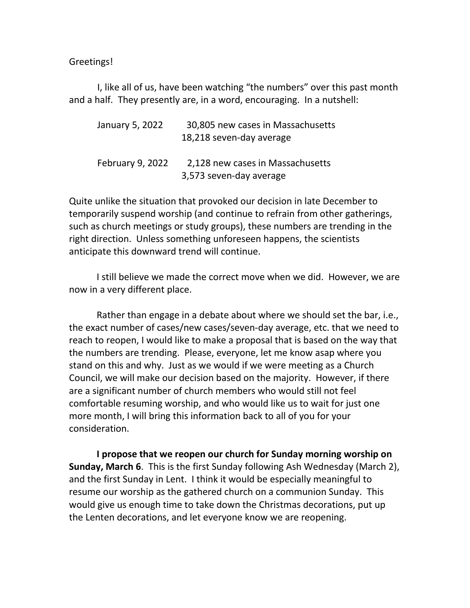Greetings!

I, like all of us, have been watching "the numbers" over this past month and a half. They presently are, in a word, encouraging. In a nutshell:

| January 5, 2022         | 30,805 new cases in Massachusetts |
|-------------------------|-----------------------------------|
|                         | 18,218 seven-day average          |
| <b>February 9, 2022</b> | 2,128 new cases in Massachusetts  |
|                         | 3,573 seven-day average           |

Quite unlike the situation that provoked our decision in late December to temporarily suspend worship (and continue to refrain from other gatherings, such as church meetings or study groups), these numbers are trending in the right direction. Unless something unforeseen happens, the scientists anticipate this downward trend will continue.

I still believe we made the correct move when we did. However, we are now in a very different place.

Rather than engage in a debate about where we should set the bar, i.e., the exact number of cases/new cases/seven-day average, etc. that we need to reach to reopen, I would like to make a proposal that is based on the way that the numbers are trending. Please, everyone, let me know asap where you stand on this and why. Just as we would if we were meeting as a Church Council, we will make our decision based on the majority. However, if there are a significant number of church members who would still not feel comfortable resuming worship, and who would like us to wait for just one more month, I will bring this information back to all of you for your consideration.

**I propose that we reopen our church for Sunday morning worship on Sunday, March 6**. This is the first Sunday following Ash Wednesday (March 2), and the first Sunday in Lent. I think it would be especially meaningful to resume our worship as the gathered church on a communion Sunday. This would give us enough time to take down the Christmas decorations, put up the Lenten decorations, and let everyone know we are reopening.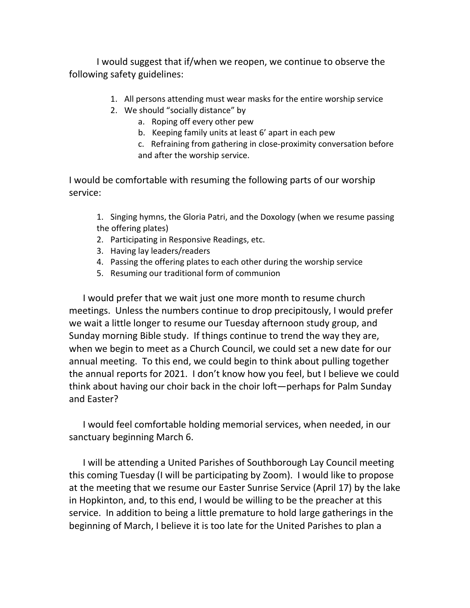I would suggest that if/when we reopen, we continue to observe the following safety guidelines:

- 1. All persons attending must wear masks for the entire worship service
- 2. We should "socially distance" by
	- a. Roping off every other pew
	- b. Keeping family units at least 6' apart in each pew
	- c. Refraining from gathering in close-proximity conversation before and after the worship service.

I would be comfortable with resuming the following parts of our worship service:

1. Singing hymns, the Gloria Patri, and the Doxology (when we resume passing the offering plates)

- 2. Participating in Responsive Readings, etc.
- 3. Having lay leaders/readers
- 4. Passing the offering plates to each other during the worship service
- 5. Resuming our traditional form of communion

I would prefer that we wait just one more month to resume church meetings. Unless the numbers continue to drop precipitously, I would prefer we wait a little longer to resume our Tuesday afternoon study group, and Sunday morning Bible study. If things continue to trend the way they are, when we begin to meet as a Church Council, we could set a new date for our annual meeting. To this end, we could begin to think about pulling together the annual reports for 2021. I don't know how you feel, but I believe we could think about having our choir back in the choir loft—perhaps for Palm Sunday and Easter?

I would feel comfortable holding memorial services, when needed, in our sanctuary beginning March 6.

I will be attending a United Parishes of Southborough Lay Council meeting this coming Tuesday (I will be participating by Zoom). I would like to propose at the meeting that we resume our Easter Sunrise Service (April 17) by the lake in Hopkinton, and, to this end, I would be willing to be the preacher at this service. In addition to being a little premature to hold large gatherings in the beginning of March, I believe it is too late for the United Parishes to plan a